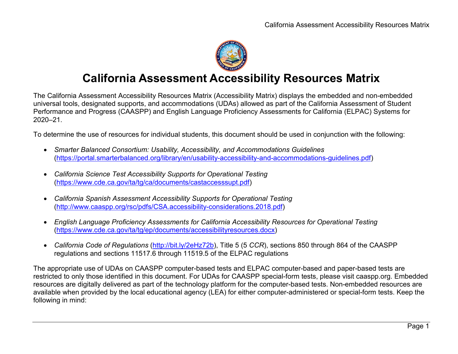

# **California Assessment Accessibility Resources Matrix**

The California Assessment Accessibility Resources Matrix (Accessibility Matrix) displays the embedded and non-embedded universal tools, designated supports, and accommodations (UDAs) allowed as part of the California Assessment of Student Performance and Progress (CAASPP) and English Language Proficiency Assessments for California (ELPAC) Systems for 2020–21.

To determine the use of resources for individual students, this document should be used in conjunction with the following:

- *Smarter Balanced Consortium: Usability, Accessibility, and Accommodations Guidelines*  [\(https://portal.smarterbalanced.org/library/en/usability-accessibility-and-accommodations-guidelines.pdf\)](https://portal.smarterbalanced.org/library/en/usability-accessibility-and-accommodations-guidelines.pdf)
- *California Science Test Accessibility Supports for Operational Testing*  [\(https://www.cde.ca.gov/ta/tg/ca/documents/castaccesssupt.pdf\)](https://www.cde.ca.gov/ta/tg/ca/documents/castaccesssupt.pdf)
- *California Spanish Assessment Accessibility Supports for Operational Testing*  [\(http://www.caaspp.org/rsc/pdfs/CSA.accessibility-considerations.2018.pdf\)](http://www.caaspp.org/rsc/pdfs/CSA.accessibility-considerations.2018.pdf)
- *English Language Proficiency Assessments for California Accessibility Resources for Operational Testing* [\(https://www.cde.ca.gov/ta/tg/ep/documents/accessibilityresources.docx\)](https://www.cde.ca.gov/ta/tg/ep/documents/accessibilityresources.docx)
- *California Code of Regulations* [\(http://bit.ly/2eHz72b\)](http://bit.ly/2eHz72b), Title 5 (5 *CCR*), sections 850 through 864 of the CAASPP regulations and sections 11517.6 through 11519.5 of the ELPAC regulations

The appropriate use of UDAs on CAASPP computer-based tests and ELPAC computer-based and paper-based tests are restricted to only those identified in this document. For UDAs for CAASPP special-form tests, please visit caaspp.org. Embedded resources are digitally delivered as part of the technology platform for the computer-based tests. Non-embedded resources are available when provided by the local educational agency (LEA) for either computer-administered or special-form tests. Keep the following in mind: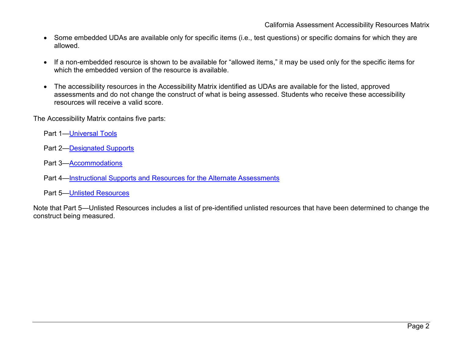- Some embedded UDAs are available only for specific items (i.e., test questions) or specific domains for which they are allowed.
- If a non-embedded resource is shown to be available for "allowed items," it may be used only for the specific items for which the embedded version of the resource is available.
- The accessibility resources in the Accessibility Matrix identified as UDAs are available for the listed, approved assessments and do not change the construct of what is being assessed. Students who receive these accessibility resources will receive a valid score.

The Accessibility Matrix contains five parts:

Part 1[—Universal Tools](#page-1-0)

Part 2[—Designated Supports](#page-9-0)

Part 3[—Accommodations](#page-21-0)

Part 4[—Instructional Supports and Resources for the Alternate Assessments](#page-30-0)

Part 5[—Unlisted Resources](#page-32-0)

<span id="page-1-0"></span>Note that Part 5—Unlisted Resources includes a list of pre-identified unlisted resources that have been determined to change the construct being measured.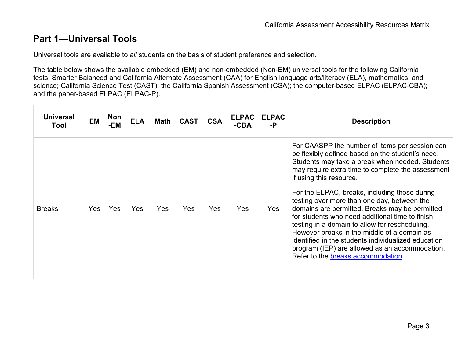# **Part 1—Universal Tools**

Universal tools are available to *all* students on the basis of student preference and selection.

The table below shows the available embedded (EM) and non-embedded (Non-EM) universal tools for the following California tests: Smarter Balanced and California Alternate Assessment (CAA) for English language arts/literacy (ELA), mathematics, and science; California Science Test (CAST); the California Spanish Assessment (CSA); the computer-based ELPAC (ELPAC-CBA); and the paper-based ELPAC (ELPAC-P).

| <b>Universal</b><br>Tool | <b>EM</b> | <b>Non</b><br>-EM | <b>ELA</b> | Math | <b>CAST</b> | <b>CSA</b> | <b>ELPAC</b><br>$-CBA$ | <b>ELPAC</b><br>-P | <b>Description</b>                                                                                                                                                                                                                                                                                                                                                                                                                                                                                                                                                                                                                                                                         |
|--------------------------|-----------|-------------------|------------|------|-------------|------------|------------------------|--------------------|--------------------------------------------------------------------------------------------------------------------------------------------------------------------------------------------------------------------------------------------------------------------------------------------------------------------------------------------------------------------------------------------------------------------------------------------------------------------------------------------------------------------------------------------------------------------------------------------------------------------------------------------------------------------------------------------|
| <b>Breaks</b>            | Yes       | Yes               | <b>Yes</b> | Yes  | Yes         | Yes        | Yes                    | Yes                | For CAASPP the number of items per session can<br>be flexibly defined based on the student's need.<br>Students may take a break when needed. Students<br>may require extra time to complete the assessment<br>if using this resource.<br>For the ELPAC, breaks, including those during<br>testing over more than one day, between the<br>domains are permitted. Breaks may be permitted<br>for students who need additional time to finish<br>testing in a domain to allow for rescheduling.<br>However breaks in the middle of a domain as<br>identified in the students individualized education<br>program (IEP) are allowed as an accommodation.<br>Refer to the breaks accommodation. |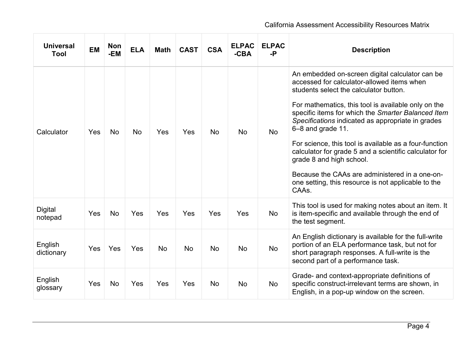| <b>Universal</b><br>Tool  | <b>EM</b> | <b>Non</b><br>-EM | <b>ELA</b> | <b>Math</b> | <b>CAST</b> | <b>CSA</b> | <b>ELPAC</b><br>$-CBA$ | <b>ELPAC</b><br>-Р | <b>Description</b>                                                                                                                                                                                                                                                                                                                                                                                                                                                                                                                                                                               |
|---------------------------|-----------|-------------------|------------|-------------|-------------|------------|------------------------|--------------------|--------------------------------------------------------------------------------------------------------------------------------------------------------------------------------------------------------------------------------------------------------------------------------------------------------------------------------------------------------------------------------------------------------------------------------------------------------------------------------------------------------------------------------------------------------------------------------------------------|
| Calculator                | Yes       | <b>No</b>         | <b>No</b>  | Yes         | Yes         | <b>No</b>  | <b>No</b>              | <b>No</b>          | An embedded on-screen digital calculator can be<br>accessed for calculator-allowed items when<br>students select the calculator button.<br>For mathematics, this tool is available only on the<br>specific items for which the Smarter Balanced Item<br>Specifications indicated as appropriate in grades<br>6-8 and grade 11.<br>For science, this tool is available as a four-function<br>calculator for grade 5 and a scientific calculator for<br>grade 8 and high school.<br>Because the CAAs are administered in a one-on-<br>one setting, this resource is not applicable to the<br>CAAs. |
| <b>Digital</b><br>notepad | Yes       | <b>No</b>         | Yes        | Yes         | Yes         | Yes        | Yes                    | No                 | This tool is used for making notes about an item. It<br>is item-specific and available through the end of<br>the test segment.                                                                                                                                                                                                                                                                                                                                                                                                                                                                   |
| English<br>dictionary     | Yes       | Yes               | Yes        | <b>No</b>   | <b>No</b>   | <b>No</b>  | <b>No</b>              | <b>No</b>          | An English dictionary is available for the full-write<br>portion of an ELA performance task, but not for<br>short paragraph responses. A full-write is the<br>second part of a performance task.                                                                                                                                                                                                                                                                                                                                                                                                 |
| English<br>glossary       | Yes       | <b>No</b>         | Yes        | Yes         | Yes         | No         | <b>No</b>              | No                 | Grade- and context-appropriate definitions of<br>specific construct-irrelevant terms are shown, in<br>English, in a pop-up window on the screen.                                                                                                                                                                                                                                                                                                                                                                                                                                                 |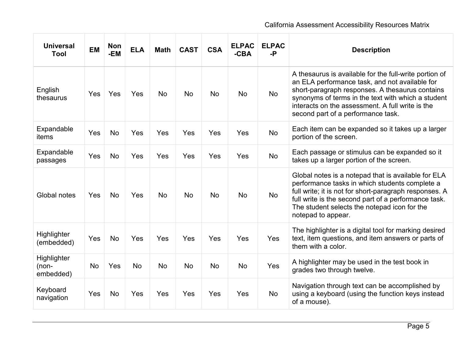| <b>Universal</b><br><b>Tool</b>   | <b>EM</b> | <b>Non</b><br>-EM | <b>ELA</b> | <b>Math</b> | <b>CAST</b> | <b>CSA</b> | <b>ELPAC</b><br>$-CBA$ | <b>ELPAC</b><br>$-P$ | <b>Description</b>                                                                                                                                                                                                                                                                                          |
|-----------------------------------|-----------|-------------------|------------|-------------|-------------|------------|------------------------|----------------------|-------------------------------------------------------------------------------------------------------------------------------------------------------------------------------------------------------------------------------------------------------------------------------------------------------------|
| English<br>thesaurus              | Yes       | Yes               | Yes        | <b>No</b>   | <b>No</b>   | <b>No</b>  | <b>No</b>              | <b>No</b>            | A thesaurus is available for the full-write portion of<br>an ELA performance task, and not available for<br>short-paragraph responses. A thesaurus contains<br>synonyms of terms in the text with which a student<br>interacts on the assessment. A full write is the<br>second part of a performance task. |
| Expandable<br>items               | Yes       | <b>No</b>         | Yes        | Yes         | Yes         | Yes        | Yes                    | <b>No</b>            | Each item can be expanded so it takes up a larger<br>portion of the screen.                                                                                                                                                                                                                                 |
| Expandable<br>passages            | Yes       | <b>No</b>         | Yes        | Yes         | Yes         | Yes        | Yes                    | <b>No</b>            | Each passage or stimulus can be expanded so it<br>takes up a larger portion of the screen.                                                                                                                                                                                                                  |
| Global notes                      | Yes       | <b>No</b>         | Yes        | <b>No</b>   | <b>No</b>   | <b>No</b>  | <b>No</b>              | No                   | Global notes is a notepad that is available for ELA<br>performance tasks in which students complete a<br>full write; it is not for short-paragraph responses. A<br>full write is the second part of a performance task.<br>The student selects the notepad icon for the<br>notepad to appear.               |
| Highlighter<br>(embedded)         | Yes       | <b>No</b>         | Yes        | Yes         | Yes         | Yes        | Yes                    | Yes                  | The highlighter is a digital tool for marking desired<br>text, item questions, and item answers or parts of<br>them with a color.                                                                                                                                                                           |
| Highlighter<br>(non-<br>embedded) | <b>No</b> | Yes               | <b>No</b>  | <b>No</b>   | <b>No</b>   | <b>No</b>  | <b>No</b>              | Yes                  | A highlighter may be used in the test book in<br>grades two through twelve.                                                                                                                                                                                                                                 |
| Keyboard<br>navigation            | Yes       | <b>No</b>         | Yes        | Yes         | Yes         | Yes        | Yes                    | <b>No</b>            | Navigation through text can be accomplished by<br>using a keyboard (using the function keys instead<br>of a mouse).                                                                                                                                                                                         |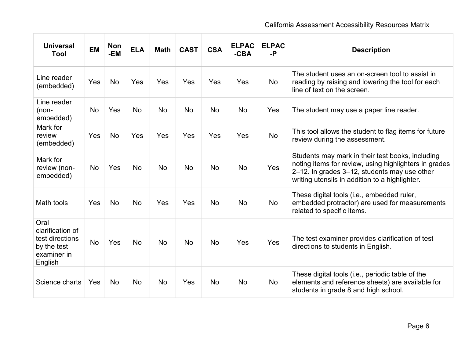| <b>Universal</b><br>Tool                                                             | <b>EM</b> | <b>Non</b><br>-EM | <b>ELA</b> | <b>Math</b> | <b>CAST</b> | <b>CSA</b> | <b>ELPAC</b><br>$-CBA$ | <b>ELPAC</b><br>-P | <b>Description</b>                                                                                                                                                                                          |
|--------------------------------------------------------------------------------------|-----------|-------------------|------------|-------------|-------------|------------|------------------------|--------------------|-------------------------------------------------------------------------------------------------------------------------------------------------------------------------------------------------------------|
| Line reader<br>(embedded)                                                            | Yes       | <b>No</b>         | Yes        | Yes         | Yes         | Yes        | Yes                    | <b>No</b>          | The student uses an on-screen tool to assist in<br>reading by raising and lowering the tool for each<br>line of text on the screen.                                                                         |
| Line reader<br>(non-<br>embedded)                                                    | <b>No</b> | Yes               | <b>No</b>  | <b>No</b>   | <b>No</b>   | No         | <b>No</b>              | Yes                | The student may use a paper line reader.                                                                                                                                                                    |
| Mark for<br>review<br>(embedded)                                                     | Yes       | No                | Yes        | Yes         | Yes         | Yes        | Yes                    | <b>No</b>          | This tool allows the student to flag items for future<br>review during the assessment.                                                                                                                      |
| Mark for<br>review (non-<br>embedded)                                                | <b>No</b> | Yes               | <b>No</b>  | <b>No</b>   | <b>No</b>   | No         | <b>No</b>              | Yes                | Students may mark in their test books, including<br>noting items for review, using highlighters in grades<br>2-12. In grades 3-12, students may use other<br>writing utensils in addition to a highlighter. |
| Math tools                                                                           | Yes       | <b>No</b>         | <b>No</b>  | Yes         | Yes         | <b>No</b>  | <b>No</b>              | <b>No</b>          | These digital tools (i.e., embedded ruler,<br>embedded protractor) are used for measurements<br>related to specific items.                                                                                  |
| Oral<br>clarification of<br>test directions<br>by the test<br>examiner in<br>English | <b>No</b> | Yes               | <b>No</b>  | <b>No</b>   | <b>No</b>   | <b>No</b>  | Yes                    | Yes                | The test examiner provides clarification of test<br>directions to students in English.                                                                                                                      |
| Science charts                                                                       | Yes       | <b>No</b>         | <b>No</b>  | <b>No</b>   | Yes         | <b>No</b>  | <b>No</b>              | No                 | These digital tools (i.e., periodic table of the<br>elements and reference sheets) are available for<br>students in grade 8 and high school.                                                                |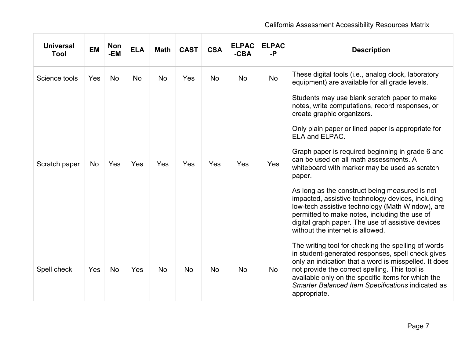| <b>Universal</b><br><b>Tool</b> | <b>EM</b> | <b>Non</b><br>-EM | <b>ELA</b> | <b>Math</b> | <b>CAST</b> | <b>CSA</b> | <b>ELPAC</b><br>$-CBA$ | <b>ELPAC</b><br>$-P$ | <b>Description</b>                                                                                                                                                                                                                                                                                                                                                                                                                                                                                                                                                                                                                                                         |
|---------------------------------|-----------|-------------------|------------|-------------|-------------|------------|------------------------|----------------------|----------------------------------------------------------------------------------------------------------------------------------------------------------------------------------------------------------------------------------------------------------------------------------------------------------------------------------------------------------------------------------------------------------------------------------------------------------------------------------------------------------------------------------------------------------------------------------------------------------------------------------------------------------------------------|
| Science tools                   | Yes       | <b>No</b>         | No         | <b>No</b>   | Yes         | <b>No</b>  | <b>No</b>              | <b>No</b>            | These digital tools (i.e., analog clock, laboratory<br>equipment) are available for all grade levels.                                                                                                                                                                                                                                                                                                                                                                                                                                                                                                                                                                      |
| Scratch paper                   | No        | Yes               | Yes        | Yes         | Yes         | Yes        | Yes                    | Yes                  | Students may use blank scratch paper to make<br>notes, write computations, record responses, or<br>create graphic organizers.<br>Only plain paper or lined paper is appropriate for<br><b>ELA and ELPAC.</b><br>Graph paper is required beginning in grade 6 and<br>can be used on all math assessments. A<br>whiteboard with marker may be used as scratch<br>paper.<br>As long as the construct being measured is not<br>impacted, assistive technology devices, including<br>low-tech assistive technology (Math Window), are<br>permitted to make notes, including the use of<br>digital graph paper. The use of assistive devices<br>without the internet is allowed. |
| Spell check                     | Yes       | No                | Yes        | <b>No</b>   | No          | No         | No                     | No                   | The writing tool for checking the spelling of words<br>in student-generated responses, spell check gives<br>only an indication that a word is misspelled. It does<br>not provide the correct spelling. This tool is<br>available only on the specific items for which the<br>Smarter Balanced Item Specifications indicated as<br>appropriate.                                                                                                                                                                                                                                                                                                                             |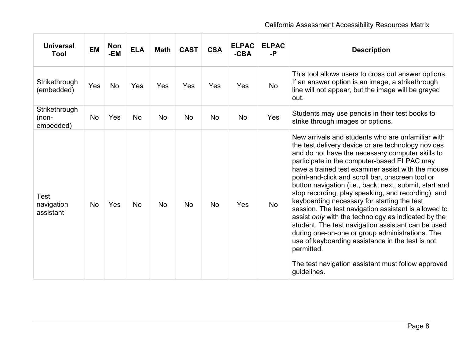| <b>Universal</b><br>Tool              | <b>EM</b> | <b>Non</b><br>-EM | <b>ELA</b> | <b>Math</b> | <b>CAST</b> | <b>CSA</b> | <b>ELPAC</b><br>$-CBA$ | <b>ELPAC</b><br>-P | <b>Description</b>                                                                                                                                                                                                                                                                                                                                                                                                                                                                                                                                                                                                                                                                                                                                                                                                                                 |
|---------------------------------------|-----------|-------------------|------------|-------------|-------------|------------|------------------------|--------------------|----------------------------------------------------------------------------------------------------------------------------------------------------------------------------------------------------------------------------------------------------------------------------------------------------------------------------------------------------------------------------------------------------------------------------------------------------------------------------------------------------------------------------------------------------------------------------------------------------------------------------------------------------------------------------------------------------------------------------------------------------------------------------------------------------------------------------------------------------|
| Strikethrough<br>(embedded)           | Yes       | <b>No</b>         | Yes        | Yes         | Yes         | Yes        | Yes                    | No                 | This tool allows users to cross out answer options.<br>If an answer option is an image, a strikethrough<br>line will not appear, but the image will be grayed<br>out.                                                                                                                                                                                                                                                                                                                                                                                                                                                                                                                                                                                                                                                                              |
| Strikethrough<br>$(non-$<br>embedded) | <b>No</b> | Yes               | No.        | <b>No</b>   | <b>No</b>   | <b>No</b>  | <b>No</b>              | Yes                | Students may use pencils in their test books to<br>strike through images or options.                                                                                                                                                                                                                                                                                                                                                                                                                                                                                                                                                                                                                                                                                                                                                               |
| Test<br>navigation<br>assistant       | <b>No</b> | Yes               | <b>No</b>  | No          | <b>No</b>   | <b>No</b>  | Yes                    | <b>No</b>          | New arrivals and students who are unfamiliar with<br>the test delivery device or are technology novices<br>and do not have the necessary computer skills to<br>participate in the computer-based ELPAC may<br>have a trained test examiner assist with the mouse<br>point-and-click and scroll bar, onscreen tool or<br>button navigation (i.e., back, next, submit, start and<br>stop recording, play speaking, and recording), and<br>keyboarding necessary for starting the test<br>session. The test navigation assistant is allowed to<br>assist only with the technology as indicated by the<br>student. The test navigation assistant can be used<br>during one-on-one or group administrations. The<br>use of keyboarding assistance in the test is not<br>permitted.<br>The test navigation assistant must follow approved<br>guidelines. |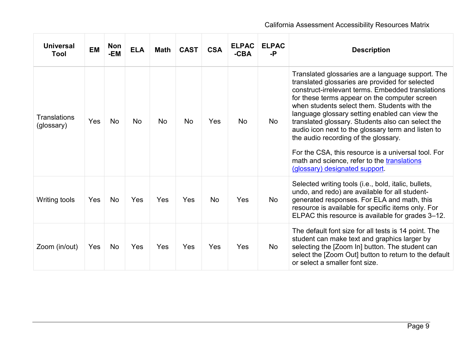| <b>Universal</b><br>Tool          | <b>EM</b> | <b>Non</b><br>-EM | <b>ELA</b> | <b>Math</b> | <b>CAST</b> | <b>CSA</b> | <b>ELPAC</b><br>$-CBA$ | <b>ELPAC</b><br>-P | <b>Description</b>                                                                                                                                                                                                                                                                                                                                                                                                                                                                                                                                                                                      |
|-----------------------------------|-----------|-------------------|------------|-------------|-------------|------------|------------------------|--------------------|---------------------------------------------------------------------------------------------------------------------------------------------------------------------------------------------------------------------------------------------------------------------------------------------------------------------------------------------------------------------------------------------------------------------------------------------------------------------------------------------------------------------------------------------------------------------------------------------------------|
| <b>Translations</b><br>(glossary) | Yes       | <b>No</b>         | <b>No</b>  | <b>No</b>   | <b>No</b>   | Yes        | <b>No</b>              | <b>No</b>          | Translated glossaries are a language support. The<br>translated glossaries are provided for selected<br>construct-irrelevant terms. Embedded translations<br>for these terms appear on the computer screen<br>when students select them. Students with the<br>language glossary setting enabled can view the<br>translated glossary. Students also can select the<br>audio icon next to the glossary term and listen to<br>the audio recording of the glossary.<br>For the CSA, this resource is a universal tool. For<br>math and science, refer to the translations<br>(glossary) designated support. |
| <b>Writing tools</b>              | Yes       | <b>No</b>         | Yes        | Yes         | Yes         | <b>No</b>  | Yes                    | No                 | Selected writing tools (i.e., bold, italic, bullets,<br>undo, and redo) are available for all student-<br>generated responses. For ELA and math, this<br>resource is available for specific items only. For<br>ELPAC this resource is available for grades 3-12.                                                                                                                                                                                                                                                                                                                                        |
| Zoom (in/out)                     | Yes       | <b>No</b>         | Yes        | Yes         | Yes         | Yes        | Yes                    | No.                | The default font size for all tests is 14 point. The<br>student can make text and graphics larger by<br>selecting the [Zoom In] button. The student can<br>select the [Zoom Out] button to return to the default<br>or select a smaller font size.                                                                                                                                                                                                                                                                                                                                                      |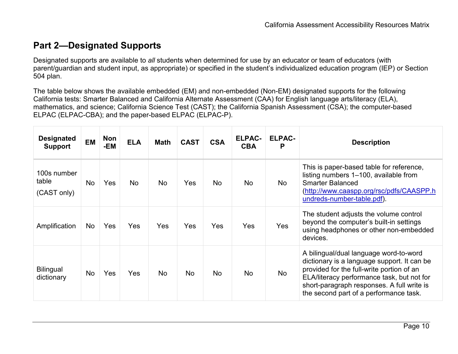# <span id="page-9-0"></span>**Part 2—Designated Supports**

Designated supports are available to *all* students when determined for use by an educator or team of educators (with parent/guardian and student input, as appropriate) or specified in the student's individualized education program (IEP) or Section 504 plan.

The table below shows the available embedded (EM) and non-embedded (Non-EM) designated supports for the following California tests: Smarter Balanced and California Alternate Assessment (CAA) for English language arts/literacy (ELA), mathematics, and science; California Science Test (CAST); the California Spanish Assessment (CSA); the computer-based ELPAC (ELPAC-CBA); and the paper-based ELPAC (ELPAC-P).

| <b>Designated</b><br><b>Support</b> | <b>EM</b> | <b>Non</b><br>-EM | <b>ELA</b> | <b>Math</b> | <b>CAST</b> | <b>CSA</b> | <b>ELPAC-</b><br><b>CBA</b> | <b>ELPAC-</b><br>P | <b>Description</b>                                                                                                                                                                                                                                                       |
|-------------------------------------|-----------|-------------------|------------|-------------|-------------|------------|-----------------------------|--------------------|--------------------------------------------------------------------------------------------------------------------------------------------------------------------------------------------------------------------------------------------------------------------------|
| 100s number<br>table<br>(CAST only) | No        | Yes               | No         | <b>No</b>   | <b>Yes</b>  | <b>No</b>  | No.                         | <b>No</b>          | This is paper-based table for reference,<br>listing numbers 1-100, available from<br><b>Smarter Balanced</b><br>(http://www.caaspp.org/rsc/pdfs/CAASPP.h<br>undreds-number-table.pdf).                                                                                   |
| Amplification                       | No        | Yes               | <b>Yes</b> | <b>Yes</b>  | Yes         | Yes        | Yes                         | <b>Yes</b>         | The student adjusts the volume control<br>beyond the computer's built-in settings<br>using headphones or other non-embedded<br>devices.                                                                                                                                  |
| <b>Bilingual</b><br>dictionary      | No        | Yes               | <b>Yes</b> | <b>No</b>   | <b>No</b>   | <b>No</b>  | <b>No</b>                   | No                 | A bilingual/dual language word-to-word<br>dictionary is a language support. It can be<br>provided for the full-write portion of an<br>ELA/literacy performance task, but not for<br>short-paragraph responses. A full write is<br>the second part of a performance task. |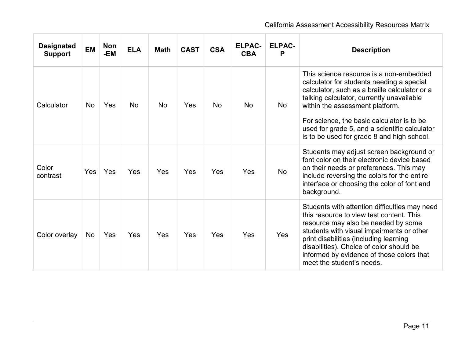| <b>Designated</b><br><b>Support</b> | <b>EM</b>  | <b>Non</b><br>-EM | <b>ELA</b> | <b>Math</b> | <b>CAST</b> | <b>CSA</b> | <b>ELPAC-</b><br><b>CBA</b> | <b>ELPAC-</b><br>P | <b>Description</b>                                                                                                                                                                                                                                                                                                                                                  |
|-------------------------------------|------------|-------------------|------------|-------------|-------------|------------|-----------------------------|--------------------|---------------------------------------------------------------------------------------------------------------------------------------------------------------------------------------------------------------------------------------------------------------------------------------------------------------------------------------------------------------------|
| Calculator                          | <b>No</b>  | Yes               | <b>No</b>  | <b>No</b>   | Yes         | <b>No</b>  | <b>No</b>                   | <b>No</b>          | This science resource is a non-embedded<br>calculator for students needing a special<br>calculator, such as a braille calculator or a<br>talking calculator, currently unavailable<br>within the assessment platform.<br>For science, the basic calculator is to be.<br>used for grade 5, and a scientific calculator<br>is to be used for grade 8 and high school. |
| Color<br>contrast                   | <b>Yes</b> | Yes               | Yes        | Yes         | Yes         | Yes        | Yes                         | <b>No</b>          | Students may adjust screen background or<br>font color on their electronic device based<br>on their needs or preferences. This may<br>include reversing the colors for the entire<br>interface or choosing the color of font and<br>background.                                                                                                                     |
| Color overlay                       | No         | Yes               | Yes        | Yes         | Yes         | Yes        | Yes                         | Yes                | Students with attention difficulties may need<br>this resource to view test content. This<br>resource may also be needed by some<br>students with visual impairments or other<br>print disabilities (including learning<br>disabilities). Choice of color should be<br>informed by evidence of those colors that<br>meet the student's needs.                       |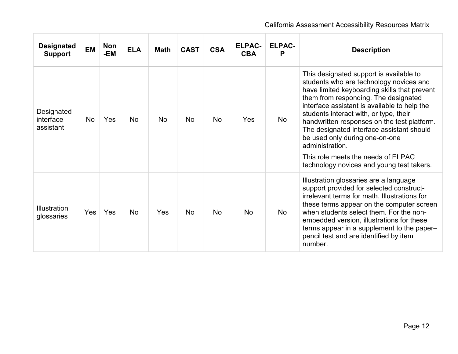| <b>Designated</b><br><b>Support</b>  | <b>EM</b>  | <b>Non</b><br>-EM | <b>ELA</b> | <b>Math</b> | <b>CAST</b> | <b>CSA</b> | <b>ELPAC-</b><br><b>CBA</b> | <b>ELPAC-</b><br>P | <b>Description</b>                                                                                                                                                                                                                                                                                                                                                                                                                                                                                       |
|--------------------------------------|------------|-------------------|------------|-------------|-------------|------------|-----------------------------|--------------------|----------------------------------------------------------------------------------------------------------------------------------------------------------------------------------------------------------------------------------------------------------------------------------------------------------------------------------------------------------------------------------------------------------------------------------------------------------------------------------------------------------|
| Designated<br>interface<br>assistant | <b>No</b>  | Yes               | <b>No</b>  | <b>No</b>   | <b>No</b>   | <b>No</b>  | Yes                         | No                 | This designated support is available to<br>students who are technology novices and<br>have limited keyboarding skills that prevent<br>them from responding. The designated<br>interface assistant is available to help the<br>students interact with, or type, their<br>handwritten responses on the test platform.<br>The designated interface assistant should<br>be used only during one-on-one<br>administration.<br>This role meets the needs of ELPAC<br>technology novices and young test takers. |
| <b>Illustration</b><br>glossaries    | <b>Yes</b> | Yes               | <b>No</b>  | Yes         | <b>No</b>   | <b>No</b>  | <b>No</b>                   | No                 | Illustration glossaries are a language<br>support provided for selected construct-<br>irrelevant terms for math. Illustrations for<br>these terms appear on the computer screen<br>when students select them. For the non-<br>embedded version, illustrations for these<br>terms appear in a supplement to the paper-<br>pencil test and are identified by item<br>number.                                                                                                                               |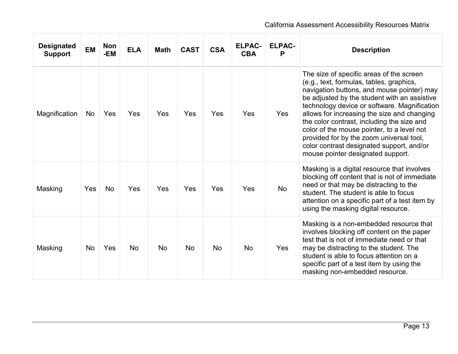| <b>Designated</b><br><b>Support</b> | <b>EM</b> | <b>Non</b><br>-EM | <b>ELA</b> | <b>Math</b> | <b>CAST</b> | <b>CSA</b> | <b>ELPAC-</b><br><b>CBA</b> | <b>ELPAC-</b><br>P | <b>Description</b>                                                                                                                                                                                                                                                                                                                                                                                                                                                                                          |
|-------------------------------------|-----------|-------------------|------------|-------------|-------------|------------|-----------------------------|--------------------|-------------------------------------------------------------------------------------------------------------------------------------------------------------------------------------------------------------------------------------------------------------------------------------------------------------------------------------------------------------------------------------------------------------------------------------------------------------------------------------------------------------|
| Magnification                       | No        | Yes               | Yes        | Yes         | Yes         | Yes        | Yes                         | Yes                | The size of specific areas of the screen<br>(e.g., text, formulas, tables, graphics,<br>navigation buttons, and mouse pointer) may<br>be adjusted by the student with an assistive<br>technology device or software. Magnification<br>allows for increasing the size and changing<br>the color contrast, including the size and<br>color of the mouse pointer, to a level not<br>provided for by the zoom universal tool,<br>color contrast designated support, and/or<br>mouse pointer designated support. |
| Masking                             | Yes       | No                | Yes        | Yes         | Yes         | Yes        | Yes                         | <b>No</b>          | Masking is a digital resource that involves<br>blocking off content that is not of immediate<br>need or that may be distracting to the<br>student. The student is able to focus<br>attention on a specific part of a test item by<br>using the masking digital resource.                                                                                                                                                                                                                                    |
| Masking                             | No        | Yes               | <b>No</b>  | <b>No</b>   | <b>No</b>   | <b>No</b>  | <b>No</b>                   | Yes                | Masking is a non-embedded resource that<br>involves blocking off content on the paper<br>test that is not of immediate need or that<br>may be distracting to the student. The<br>student is able to focus attention on a<br>specific part of a test item by using the<br>masking non-embedded resource.                                                                                                                                                                                                     |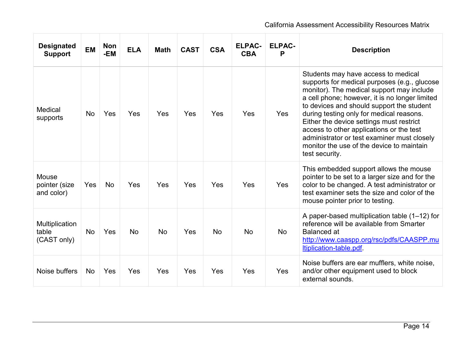| <b>Designated</b><br><b>Support</b>    | <b>EM</b> | <b>Non</b><br>-EM | <b>ELA</b> | <b>Math</b> | <b>CAST</b> | <b>CSA</b> | <b>ELPAC-</b><br><b>CBA</b> | <b>ELPAC-</b><br>P | <b>Description</b>                                                                                                                                                                                                                                                                                                                                                                                                                                                                |
|----------------------------------------|-----------|-------------------|------------|-------------|-------------|------------|-----------------------------|--------------------|-----------------------------------------------------------------------------------------------------------------------------------------------------------------------------------------------------------------------------------------------------------------------------------------------------------------------------------------------------------------------------------------------------------------------------------------------------------------------------------|
| Medical<br>supports                    | <b>No</b> | Yes               | Yes        | Yes         | Yes         | Yes        | Yes                         | Yes                | Students may have access to medical<br>supports for medical purposes (e.g., glucose<br>monitor). The medical support may include<br>a cell phone; however, it is no longer limited<br>to devices and should support the student<br>during testing only for medical reasons.<br>Either the device settings must restrict<br>access to other applications or the test<br>administrator or test examiner must closely<br>monitor the use of the device to maintain<br>test security. |
| Mouse<br>pointer (size<br>and color)   | Yes       | <b>No</b>         | Yes        | Yes         | Yes         | Yes        | Yes                         | Yes                | This embedded support allows the mouse<br>pointer to be set to a larger size and for the<br>color to be changed. A test administrator or<br>test examiner sets the size and color of the<br>mouse pointer prior to testing.                                                                                                                                                                                                                                                       |
| Multiplication<br>table<br>(CAST only) | <b>No</b> | Yes               | <b>No</b>  | No          | Yes         | <b>No</b>  | <b>No</b>                   | No                 | A paper-based multiplication table (1-12) for<br>reference will be available from Smarter<br><b>Balanced at</b><br>http://www.caaspp.org/rsc/pdfs/CAASPP.mu<br>Itiplication-table.pdf                                                                                                                                                                                                                                                                                             |
| Noise buffers                          | <b>No</b> | Yes               | Yes        | Yes         | Yes         | Yes        | Yes                         | Yes                | Noise buffers are ear mufflers, white noise,<br>and/or other equipment used to block<br>external sounds.                                                                                                                                                                                                                                                                                                                                                                          |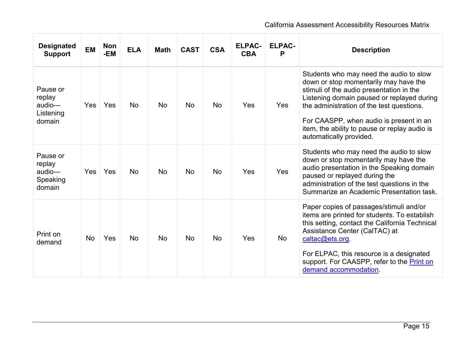| <b>Designated</b><br><b>Support</b>                 | <b>EM</b> | <b>Non</b><br>-EM | <b>ELA</b> | <b>Math</b> | <b>CAST</b> | <b>CSA</b> | <b>ELPAC-</b><br><b>CBA</b> | <b>ELPAC-</b><br>P | <b>Description</b>                                                                                                                                                                                                                                                                                                                             |
|-----------------------------------------------------|-----------|-------------------|------------|-------------|-------------|------------|-----------------------------|--------------------|------------------------------------------------------------------------------------------------------------------------------------------------------------------------------------------------------------------------------------------------------------------------------------------------------------------------------------------------|
| Pause or<br>replay<br>audio-<br>Listening<br>domain | Yes       | Yes               | <b>No</b>  | No          | No          | <b>No</b>  | Yes                         | Yes                | Students who may need the audio to slow<br>down or stop momentarily may have the<br>stimuli of the audio presentation in the<br>Listening domain paused or replayed during<br>the administration of the test questions.<br>For CAASPP, when audio is present in an<br>item, the ability to pause or replay audio is<br>automatically provided. |
| Pause or<br>replay<br>audio-<br>Speaking<br>domain  | Yes       | Yes               | <b>No</b>  | <b>No</b>   | <b>No</b>   | <b>No</b>  | Yes                         | Yes                | Students who may need the audio to slow<br>down or stop momentarily may have the<br>audio presentation in the Speaking domain<br>paused or replayed during the<br>administration of the test questions in the<br>Summarize an Academic Presentation task.                                                                                      |
| Print on<br>demand                                  | <b>No</b> | Yes               | <b>No</b>  | <b>No</b>   | <b>No</b>   | <b>No</b>  | Yes                         | <b>No</b>          | Paper copies of passages/stimuli and/or<br>items are printed for students. To establish<br>this setting, contact the California Technical<br>Assistance Center (CalTAC) at<br>caltac@ets.org<br>For ELPAC, this resource is a designated<br>support. For CAASPP, refer to the <b>Print on</b><br>demand accommodation.                         |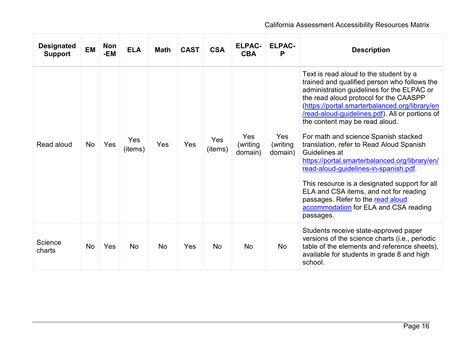| <b>Designated</b><br><b>Support</b> | <b>EM</b> | <b>Non</b><br>-EM | <b>ELA</b>     | <b>Math</b> | <b>CAST</b> | <b>CSA</b>     | <b>ELPAC-</b><br><b>CBA</b> | <b>ELPAC-</b><br>P          | <b>Description</b>                                                                                                                                                                                                                                                                                                                                                                                                                                                                                                                                                                                                                                                                                         |
|-------------------------------------|-----------|-------------------|----------------|-------------|-------------|----------------|-----------------------------|-----------------------------|------------------------------------------------------------------------------------------------------------------------------------------------------------------------------------------------------------------------------------------------------------------------------------------------------------------------------------------------------------------------------------------------------------------------------------------------------------------------------------------------------------------------------------------------------------------------------------------------------------------------------------------------------------------------------------------------------------|
| Read aloud                          | <b>No</b> | Yes               | Yes<br>(items) | Yes         | Yes         | Yes<br>(items) | Yes<br>(writing<br>domain)  | Yes<br>(writing)<br>domain) | Text is read aloud to the student by a<br>trained and qualified person who follows the<br>administration guidelines for the ELPAC or<br>the read aloud protocol for the CAASPP<br>(https://portal.smarterbalanced.org/library/en<br>/read-aloud-guidelines.pdf). All or portions of<br>the content may be read aloud.<br>For math and science Spanish stacked<br>translation, refer to Read Aloud Spanish<br>Guidelines at<br>https://portal.smarterbalanced.org/library/en/<br>read-aloud-guidelines-in-spanish.pdf<br>This resource is a designated support for all<br>ELA and CSA items, and not for reading<br>passages. Refer to the read aloud<br>accommodation for ELA and CSA reading<br>passages. |
| Science<br>charts                   | <b>No</b> | Yes               | <b>No</b>      | <b>No</b>   | Yes         | <b>No</b>      | No                          | No                          | Students receive state-approved paper<br>versions of the science charts (i.e., periodic<br>table of the elements and reference sheets),<br>available for students in grade 8 and high<br>school.                                                                                                                                                                                                                                                                                                                                                                                                                                                                                                           |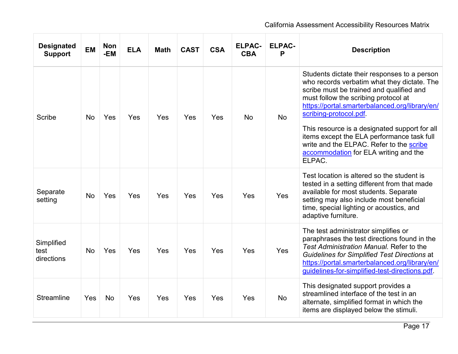| <b>Designated</b><br><b>Support</b> | <b>EM</b> | <b>Non</b><br>-EM | <b>ELA</b> | <b>Math</b> | <b>CAST</b> | <b>CSA</b> | <b>ELPAC-</b><br><b>CBA</b> | <b>ELPAC-</b><br>P | <b>Description</b>                                                                                                                                                                                                                                                                                                                                                                                                                                       |
|-------------------------------------|-----------|-------------------|------------|-------------|-------------|------------|-----------------------------|--------------------|----------------------------------------------------------------------------------------------------------------------------------------------------------------------------------------------------------------------------------------------------------------------------------------------------------------------------------------------------------------------------------------------------------------------------------------------------------|
| <b>Scribe</b>                       | <b>No</b> | Yes               | Yes        | Yes         | Yes         | Yes        | <b>No</b>                   | <b>No</b>          | Students dictate their responses to a person<br>who records verbatim what they dictate. The<br>scribe must be trained and qualified and<br>must follow the scribing protocol at<br>https://portal.smarterbalanced.org/library/en/<br>scribing-protocol.pdf<br>This resource is a designated support for all<br>items except the ELA performance task full<br>write and the ELPAC. Refer to the scribe<br>accommodation for ELA writing and the<br>ELPAC. |
| Separate<br>setting                 | <b>No</b> | Yes               | Yes        | Yes         | Yes         | Yes        | Yes                         | Yes                | Test location is altered so the student is<br>tested in a setting different from that made<br>available for most students. Separate<br>setting may also include most beneficial<br>time, special lighting or acoustics, and<br>adaptive furniture.                                                                                                                                                                                                       |
| Simplified<br>test<br>directions    | <b>No</b> | Yes               | Yes        | Yes         | Yes         | Yes        | Yes                         | Yes                | The test administrator simplifies or<br>paraphrases the test directions found in the<br>Test Administration Manual. Refer to the<br>Guidelines for Simplified Test Directions at<br>https://portal.smarterbalanced.org/library/en/<br>guidelines-for-simplified-test-directions.pdf                                                                                                                                                                      |
| <b>Streamline</b>                   | Yes       | <b>No</b>         | Yes        | Yes         | Yes         | Yes        | Yes                         | <b>No</b>          | This designated support provides a<br>streamlined interface of the test in an<br>alternate, simplified format in which the<br>items are displayed below the stimuli.                                                                                                                                                                                                                                                                                     |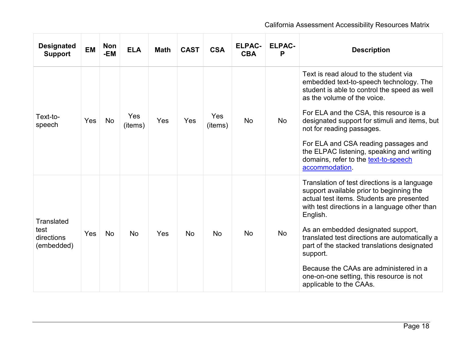| <b>Designated</b><br><b>Support</b>                   | <b>EM</b> | <b>Non</b><br>-EM | <b>ELA</b>     | <b>Math</b> | <b>CAST</b> | <b>CSA</b>     | <b>ELPAC-</b><br><b>CBA</b> | <b>ELPAC-</b><br>P | <b>Description</b>                                                                                                                                                                                                                                                                                                                                                                                                                                                     |
|-------------------------------------------------------|-----------|-------------------|----------------|-------------|-------------|----------------|-----------------------------|--------------------|------------------------------------------------------------------------------------------------------------------------------------------------------------------------------------------------------------------------------------------------------------------------------------------------------------------------------------------------------------------------------------------------------------------------------------------------------------------------|
| Text-to-<br>speech                                    | Yes       | <b>No</b>         | Yes<br>(items) | Yes         | Yes         | Yes<br>(items) | <b>No</b>                   | <b>No</b>          | Text is read aloud to the student via<br>embedded text-to-speech technology. The<br>student is able to control the speed as well<br>as the volume of the voice.<br>For ELA and the CSA, this resource is a<br>designated support for stimuli and items, but<br>not for reading passages.<br>For ELA and CSA reading passages and<br>the ELPAC listening, speaking and writing<br>domains, refer to the text-to-speech<br>accommodation.                                |
| <b>Translated</b><br>test<br>directions<br>(embedded) | Yes       | <b>No</b>         | <b>No</b>      | Yes         | <b>No</b>   | <b>No</b>      | <b>No</b>                   | <b>No</b>          | Translation of test directions is a language<br>support available prior to beginning the<br>actual test items. Students are presented<br>with test directions in a language other than<br>English.<br>As an embedded designated support,<br>translated test directions are automatically a<br>part of the stacked translations designated<br>support.<br>Because the CAAs are administered in a<br>one-on-one setting, this resource is not<br>applicable to the CAAs. |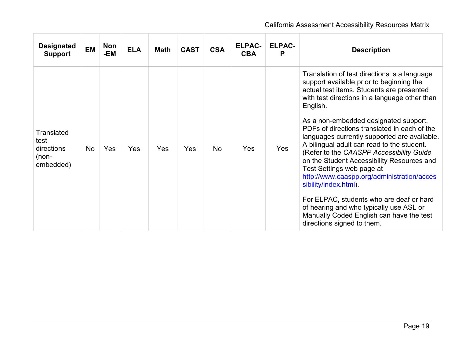| <b>Designated</b><br><b>Support</b>                           | <b>EM</b> | <b>Non</b><br>-EM | <b>ELA</b> | <b>Math</b> | <b>CAST</b> | <b>CSA</b> | <b>ELPAC-</b><br><b>CBA</b> | <b>ELPAC-</b><br>P | <b>Description</b>                                                                                                                                                                                                                                                                                                                                                                                                                                                                                                                                                                                                                                                                                                                                        |
|---------------------------------------------------------------|-----------|-------------------|------------|-------------|-------------|------------|-----------------------------|--------------------|-----------------------------------------------------------------------------------------------------------------------------------------------------------------------------------------------------------------------------------------------------------------------------------------------------------------------------------------------------------------------------------------------------------------------------------------------------------------------------------------------------------------------------------------------------------------------------------------------------------------------------------------------------------------------------------------------------------------------------------------------------------|
| <b>Translated</b><br>test<br>directions<br>(non-<br>embedded) | No        | Yes               | <b>Yes</b> | <b>Yes</b>  | Yes         | <b>No</b>  | Yes                         | Yes                | Translation of test directions is a language<br>support available prior to beginning the<br>actual test items. Students are presented<br>with test directions in a language other than<br>English.<br>As a non-embedded designated support,<br>PDFs of directions translated in each of the<br>languages currently supported are available.<br>A bilingual adult can read to the student.<br>(Refer to the CAASPP Accessibility Guide)<br>on the Student Accessibility Resources and<br>Test Settings web page at<br>http://www.caaspp.org/administration/acces<br>sibility/index.html).<br>For ELPAC, students who are deaf or hard<br>of hearing and who typically use ASL or<br>Manually Coded English can have the test<br>directions signed to them. |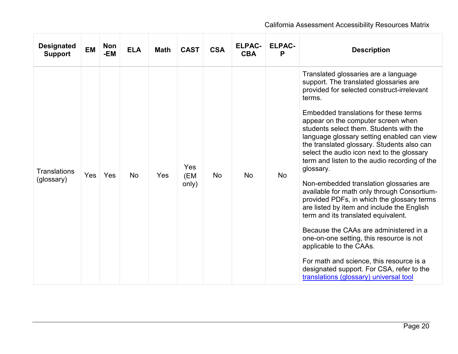| <b>Designated</b><br><b>Support</b> | <b>EM</b>  | <b>Non</b><br>-EM | <b>ELA</b> | <b>Math</b> | <b>CAST</b>         | <b>CSA</b> | <b>ELPAC-</b><br><b>CBA</b> | <b>ELPAC-</b><br>P | <b>Description</b>                                                                                                                                                                                                                                                                                                                                                                                                                                                                                                                                                                                                                                                                                                                                                                                                                                                                                                                                        |
|-------------------------------------|------------|-------------------|------------|-------------|---------------------|------------|-----------------------------|--------------------|-----------------------------------------------------------------------------------------------------------------------------------------------------------------------------------------------------------------------------------------------------------------------------------------------------------------------------------------------------------------------------------------------------------------------------------------------------------------------------------------------------------------------------------------------------------------------------------------------------------------------------------------------------------------------------------------------------------------------------------------------------------------------------------------------------------------------------------------------------------------------------------------------------------------------------------------------------------|
| <b>Translations</b><br>(glossary)   | <b>Yes</b> | Yes               | <b>No</b>  | Yes         | Yes<br>(EM<br>only) | <b>No</b>  | <b>No</b>                   | <b>No</b>          | Translated glossaries are a language<br>support. The translated glossaries are<br>provided for selected construct-irrelevant<br>terms.<br>Embedded translations for these terms<br>appear on the computer screen when<br>students select them. Students with the<br>language glossary setting enabled can view<br>the translated glossary. Students also can<br>select the audio icon next to the glossary<br>term and listen to the audio recording of the<br>glossary.<br>Non-embedded translation glossaries are<br>available for math only through Consortium-<br>provided PDFs, in which the glossary terms<br>are listed by item and include the English<br>term and its translated equivalent.<br>Because the CAAs are administered in a<br>one-on-one setting, this resource is not<br>applicable to the CAAs.<br>For math and science, this resource is a<br>designated support. For CSA, refer to the<br>translations (glossary) universal tool |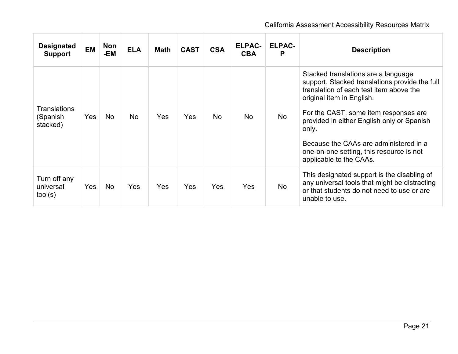| <b>Designated</b><br><b>Support</b>           | <b>EM</b> | <b>Non</b><br>-EM | <b>ELA</b> | Math       | <b>CAST</b> | <b>CSA</b> | <b>ELPAC-</b><br><b>CBA</b> | <b>ELPAC-</b><br>P | <b>Description</b>                                                                                                                                                                                                                                                                                                                                                             |
|-----------------------------------------------|-----------|-------------------|------------|------------|-------------|------------|-----------------------------|--------------------|--------------------------------------------------------------------------------------------------------------------------------------------------------------------------------------------------------------------------------------------------------------------------------------------------------------------------------------------------------------------------------|
| <b>Translations</b><br>(Spanish<br>stacked)   | Yes       | <b>No</b>         | No.        | <b>Yes</b> | Yes         | <b>No</b>  | No                          | <b>No</b>          | Stacked translations are a language<br>support. Stacked translations provide the full<br>translation of each test item above the<br>original item in English.<br>For the CAST, some item responses are<br>provided in either English only or Spanish<br>only.<br>Because the CAAs are administered in a<br>one-on-one setting, this resource is not<br>applicable to the CAAs. |
| Turn off any<br>universal<br>$\text{tool}(s)$ | Yes       | <b>No</b>         | Yes        | Yes        | Yes         | Yes        | Yes                         | No                 | This designated support is the disabling of<br>any universal tools that might be distracting<br>or that students do not need to use or are<br>unable to use.                                                                                                                                                                                                                   |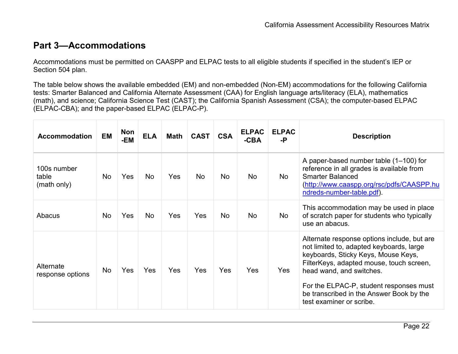### <span id="page-21-0"></span>**Part 3—Accommodations**

Accommodations must be permitted on CAASPP and ELPAC tests to all eligible students if specified in the student's IEP or Section 504 plan.

The table below shows the available embedded (EM) and non-embedded (Non-EM) accommodations for the following California tests: Smarter Balanced and California Alternate Assessment (CAA) for English language arts/literacy (ELA), mathematics (math), and science; California Science Test (CAST); the California Spanish Assessment (CSA); the computer-based ELPAC (ELPAC-CBA); and the paper-based ELPAC (ELPAC-P).

| <b>Accommodation</b>                | <b>EM</b> | <b>Non</b><br>-EM | <b>ELA</b> | <b>Math</b> | <b>CAST</b> | <b>CSA</b> | <b>ELPAC</b><br>$-CBA$ | <b>ELPAC</b><br>-P | <b>Description</b>                                                                                                                                                                                                                                                                                                        |
|-------------------------------------|-----------|-------------------|------------|-------------|-------------|------------|------------------------|--------------------|---------------------------------------------------------------------------------------------------------------------------------------------------------------------------------------------------------------------------------------------------------------------------------------------------------------------------|
| 100s number<br>table<br>(math only) | <b>No</b> | Yes               | <b>No</b>  | Yes         | No          | <b>No</b>  | No                     | <b>No</b>          | A paper-based number table (1–100) for<br>reference in all grades is available from<br><b>Smarter Balanced</b><br>(http://www.caaspp.org/rsc/pdfs/CAASPP.hu<br>ndreds-number-table.pdf).                                                                                                                                  |
| Abacus                              | <b>No</b> | Yes               | <b>No</b>  | Yes         | Yes         | <b>No</b>  | <b>No</b>              | No                 | This accommodation may be used in place<br>of scratch paper for students who typically<br>use an abacus.                                                                                                                                                                                                                  |
| Alternate<br>response options       | No        | Yes               | Yes        | Yes         | Yes         | Yes        | Yes                    | Yes                | Alternate response options include, but are<br>not limited to, adapted keyboards, large<br>keyboards, Sticky Keys, Mouse Keys,<br>FilterKeys, adapted mouse, touch screen,<br>head wand, and switches.<br>For the ELPAC-P, student responses must<br>be transcribed in the Answer Book by the<br>test examiner or scribe. |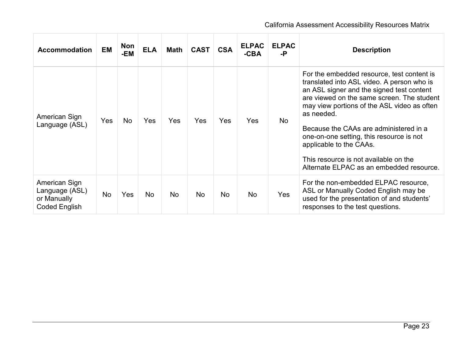| <b>Accommodation</b>                                                   | <b>EM</b> | <b>Non</b><br>-EM | <b>ELA</b> | <b>Math</b> | <b>CAST</b> | <b>CSA</b> | <b>ELPAC</b><br>$-CBA$ | <b>ELPAC</b><br>-Р | <b>Description</b>                                                                                                                                                                                                                                                                                                                                                                                                                                     |
|------------------------------------------------------------------------|-----------|-------------------|------------|-------------|-------------|------------|------------------------|--------------------|--------------------------------------------------------------------------------------------------------------------------------------------------------------------------------------------------------------------------------------------------------------------------------------------------------------------------------------------------------------------------------------------------------------------------------------------------------|
| American Sign<br>Language (ASL)                                        | Yes       | No                | <b>Yes</b> | <b>Yes</b>  | <b>Yes</b>  | Yes        | <b>Yes</b>             | No                 | For the embedded resource, test content is<br>translated into ASL video. A person who is<br>an ASL signer and the signed test content<br>are viewed on the same screen. The student<br>may view portions of the ASL video as often<br>as needed.<br>Because the CAAs are administered in a<br>one-on-one setting, this resource is not<br>applicable to the CAAs.<br>This resource is not available on the<br>Alternate ELPAC as an embedded resource. |
| American Sign<br>Language (ASL)<br>or Manually<br><b>Coded English</b> | <b>No</b> | <b>Yes</b>        | <b>No</b>  | <b>No</b>   | No          | <b>No</b>  | <b>No</b>              | Yes                | For the non-embedded ELPAC resource,<br>ASL or Manually Coded English may be<br>used for the presentation of and students'<br>responses to the test questions.                                                                                                                                                                                                                                                                                         |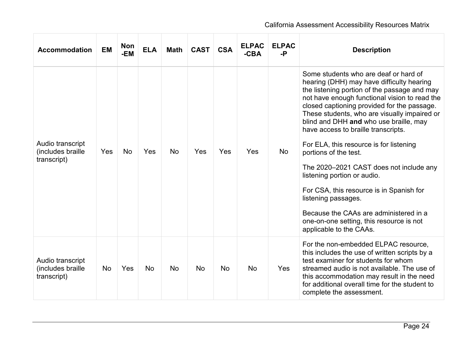| <b>Accommodation</b>                                 | <b>EM</b> | <b>Non</b><br>-EM | <b>ELA</b> | <b>Math</b> | <b>CAST</b> | <b>CSA</b> | <b>ELPAC</b><br>$-CBA$ | <b>ELPAC</b><br>-P | <b>Description</b>                                                                                                                                                                                                                                                                                                                                                                                                                                                                                                                                                                                                                                                                                    |
|------------------------------------------------------|-----------|-------------------|------------|-------------|-------------|------------|------------------------|--------------------|-------------------------------------------------------------------------------------------------------------------------------------------------------------------------------------------------------------------------------------------------------------------------------------------------------------------------------------------------------------------------------------------------------------------------------------------------------------------------------------------------------------------------------------------------------------------------------------------------------------------------------------------------------------------------------------------------------|
| Audio transcript<br>(includes braille<br>transcript) | Yes       | No                | Yes        | <b>No</b>   | Yes         | Yes        | Yes                    | <b>No</b>          | Some students who are deaf or hard of<br>hearing (DHH) may have difficulty hearing<br>the listening portion of the passage and may<br>not have enough functional vision to read the<br>closed captioning provided for the passage.<br>These students, who are visually impaired or<br>blind and DHH and who use braille, may<br>have access to braille transcripts.<br>For ELA, this resource is for listening<br>portions of the test.<br>The 2020-2021 CAST does not include any<br>listening portion or audio.<br>For CSA, this resource is in Spanish for<br>listening passages.<br>Because the CAAs are administered in a<br>one-on-one setting, this resource is not<br>applicable to the CAAs. |
| Audio transcript<br>(includes braille<br>transcript) | No        | Yes               | <b>No</b>  | <b>No</b>   | No          | <b>No</b>  | No                     | Yes                | For the non-embedded ELPAC resource,<br>this includes the use of written scripts by a<br>test examiner for students for whom<br>streamed audio is not available. The use of<br>this accommodation may result in the need<br>for additional overall time for the student to<br>complete the assessment.                                                                                                                                                                                                                                                                                                                                                                                                |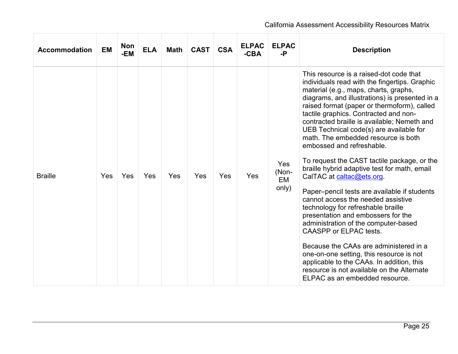| <b>Accommodation</b> | <b>EM</b> | <b>Non</b><br>-EM | <b>ELA</b> | <b>Math</b> | <b>CAST</b> | <b>CSA</b> | <b>ELPAC</b><br>$-CBA$ | <b>ELPAC</b><br>-P                 | <b>Description</b>                                                                                                                                                                                                                                                                                                                                                                                                                                                                                                                                                                                                                                                                                                                                                                                                                                                                                                                                                                                                          |
|----------------------|-----------|-------------------|------------|-------------|-------------|------------|------------------------|------------------------------------|-----------------------------------------------------------------------------------------------------------------------------------------------------------------------------------------------------------------------------------------------------------------------------------------------------------------------------------------------------------------------------------------------------------------------------------------------------------------------------------------------------------------------------------------------------------------------------------------------------------------------------------------------------------------------------------------------------------------------------------------------------------------------------------------------------------------------------------------------------------------------------------------------------------------------------------------------------------------------------------------------------------------------------|
| <b>Braille</b>       | Yes       | Yes               | Yes        | Yes         | Yes         | Yes        | Yes                    | Yes<br>(Non-<br><b>EM</b><br>only) | This resource is a raised-dot code that<br>individuals read with the fingertips. Graphic<br>material (e.g., maps, charts, graphs,<br>diagrams, and illustrations) is presented in a<br>raised format (paper or thermoform), called<br>tactile graphics. Contracted and non-<br>contracted braille is available; Nemeth and<br>UEB Technical code(s) are available for<br>math. The embedded resource is both<br>embossed and refreshable.<br>To request the CAST tactile package, or the<br>braille hybrid adaptive test for math, email<br>CalTAC at caltac@ets.org<br>Paper-pencil tests are available if students<br>cannot access the needed assistive<br>technology for refreshable braille<br>presentation and embossers for the<br>administration of the computer-based<br>CAASPP or ELPAC tests.<br>Because the CAAs are administered in a<br>one-on-one setting, this resource is not<br>applicable to the CAAs. In addition, this<br>resource is not available on the Alternate<br>ELPAC as an embedded resource. |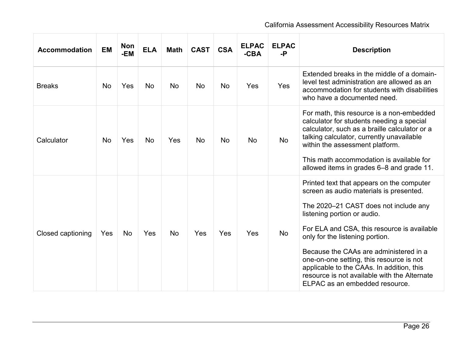| <b>Accommodation</b> | <b>EM</b> | <b>Non</b><br>-EM | <b>ELA</b> | <b>Math</b> | <b>CAST</b> | <b>CSA</b> | <b>ELPAC</b><br>$-CBA$ | <b>ELPAC</b><br>$-P$ | <b>Description</b>                                                                                                                                                                                                                                                                                                                                                                                                                                                  |
|----------------------|-----------|-------------------|------------|-------------|-------------|------------|------------------------|----------------------|---------------------------------------------------------------------------------------------------------------------------------------------------------------------------------------------------------------------------------------------------------------------------------------------------------------------------------------------------------------------------------------------------------------------------------------------------------------------|
| <b>Breaks</b>        | <b>No</b> | Yes               | No         | <b>No</b>   | No          | <b>No</b>  | Yes                    | Yes                  | Extended breaks in the middle of a domain-<br>level test administration are allowed as an<br>accommodation for students with disabilities<br>who have a documented need.                                                                                                                                                                                                                                                                                            |
| Calculator           | <b>No</b> | Yes               | <b>No</b>  | Yes         | <b>No</b>   | <b>No</b>  | <b>No</b>              | No                   | For math, this resource is a non-embedded<br>calculator for students needing a special<br>calculator, such as a braille calculator or a<br>talking calculator, currently unavailable<br>within the assessment platform.<br>This math accommodation is available for<br>allowed items in grades 6–8 and grade 11.                                                                                                                                                    |
| Closed captioning    | Yes       | <b>No</b>         | Yes        | <b>No</b>   | Yes         | Yes        | Yes                    | <b>No</b>            | Printed text that appears on the computer<br>screen as audio materials is presented.<br>The 2020-21 CAST does not include any<br>listening portion or audio.<br>For ELA and CSA, this resource is available<br>only for the listening portion.<br>Because the CAAs are administered in a<br>one-on-one setting, this resource is not<br>applicable to the CAAs. In addition, this<br>resource is not available with the Alternate<br>ELPAC as an embedded resource. |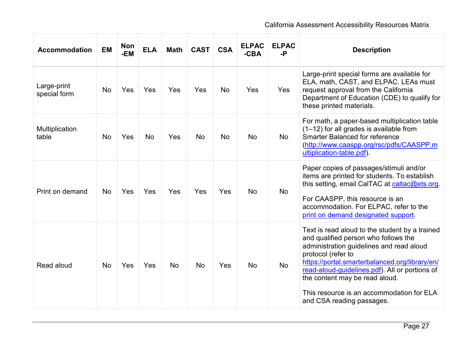| <b>Accommodation</b>        | <b>EM</b> | <b>Non</b><br>-EM | <b>ELA</b> | <b>Math</b> | <b>CAST</b> | <b>CSA</b> | <b>ELPAC</b><br>$-CBA$ | <b>ELPAC</b><br>$-P$ | <b>Description</b>                                                                                                                                                                                                                                                                                                                                                       |
|-----------------------------|-----------|-------------------|------------|-------------|-------------|------------|------------------------|----------------------|--------------------------------------------------------------------------------------------------------------------------------------------------------------------------------------------------------------------------------------------------------------------------------------------------------------------------------------------------------------------------|
| Large-print<br>special form | <b>No</b> | Yes               | Yes        | Yes         | Yes         | <b>No</b>  | Yes                    | Yes                  | Large-print special forms are available for<br>ELA, math, CAST, and ELPAC. LEAs must<br>request approval from the California<br>Department of Education (CDE) to qualify for<br>these printed materials.                                                                                                                                                                 |
| Multiplication<br>table     | No        | Yes               | <b>No</b>  | Yes         | <b>No</b>   | <b>No</b>  | <b>No</b>              | No                   | For math, a paper-based multiplication table<br>(1-12) for all grades is available from<br><b>Smarter Balanced for reference</b><br>(http://www.caaspp.org/rsc/pdfs/CAASPP.m<br>ultiplication-table.pdf).                                                                                                                                                                |
| Print on demand             | <b>No</b> | Yes               | Yes        | Yes         | Yes         | Yes        | <b>No</b>              | <b>No</b>            | Paper copies of passages/stimuli and/or<br>items are printed for students. To establish<br>this setting, email CalTAC at caltac@ets.org.<br>For CAASPP, this resource is an<br>accommodation. For ELPAC, refer to the<br>print on demand designated support.                                                                                                             |
| Read aloud                  | <b>No</b> | Yes               | Yes        | <b>No</b>   | <b>No</b>   | Yes        | <b>No</b>              | <b>No</b>            | Text is read aloud to the student by a trained<br>and qualified person who follows the<br>administration guidelines and read aloud<br>protocol (refer to<br>https://portal.smarterbalanced.org/library/en/<br>read-aloud-guidelines.pdf). All or portions of<br>the content may be read aloud.<br>This resource is an accommodation for ELA<br>and CSA reading passages. |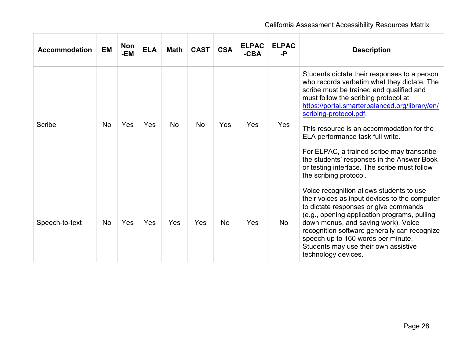| <b>Accommodation</b> | <b>EM</b> | <b>Non</b><br>-EM | <b>ELA</b> | <b>Math</b> | <b>CAST</b> | <b>CSA</b> | <b>ELPAC</b><br>$-CBA$ | <b>ELPAC</b><br>-P | <b>Description</b>                                                                                                                                                                                                                                                                                                                                                                                                                                                                                                |  |
|----------------------|-----------|-------------------|------------|-------------|-------------|------------|------------------------|--------------------|-------------------------------------------------------------------------------------------------------------------------------------------------------------------------------------------------------------------------------------------------------------------------------------------------------------------------------------------------------------------------------------------------------------------------------------------------------------------------------------------------------------------|--|
| Scribe               | No        | Yes               | Yes        | <b>No</b>   | No          | Yes        | Yes                    | Yes                | Students dictate their responses to a person<br>who records verbatim what they dictate. The<br>scribe must be trained and qualified and<br>must follow the scribing protocol at<br>https://portal.smarterbalanced.org/library/en/<br>scribing-protocol.pdf<br>This resource is an accommodation for the<br>ELA performance task full write.<br>For ELPAC, a trained scribe may transcribe<br>the students' responses in the Answer Book<br>or testing interface. The scribe must follow<br>the scribing protocol. |  |
| Speech-to-text       | <b>No</b> | Yes               | Yes        | Yes         | Yes         | <b>No</b>  | Yes                    | No                 | Voice recognition allows students to use<br>their voices as input devices to the computer<br>to dictate responses or give commands<br>(e.g., opening application programs, pulling<br>down menus, and saving work). Voice<br>recognition software generally can recognize<br>speech up to 160 words per minute.<br>Students may use their own assistive<br>technology devices.                                                                                                                                    |  |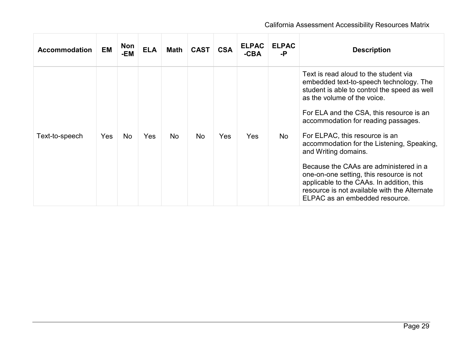# California Assessment Accessibility Resources Matrix

| <b>Accommodation</b> | EM         | Non<br>-EM | <b>ELA</b> | <b>Math</b> | <b>CAST</b> | <b>CSA</b> | <b>ELPAC</b><br>$-CBA$ | <b>ELPAC</b><br>-P | <b>Description</b>                                                                                                                                                                                                                                                                                                                                                                                                                                                                                                                                                              |
|----------------------|------------|------------|------------|-------------|-------------|------------|------------------------|--------------------|---------------------------------------------------------------------------------------------------------------------------------------------------------------------------------------------------------------------------------------------------------------------------------------------------------------------------------------------------------------------------------------------------------------------------------------------------------------------------------------------------------------------------------------------------------------------------------|
| Text-to-speech       | <b>Yes</b> | No.        | Yes        | <b>No</b>   | No          | Yes        | <b>Yes</b>             | No.                | Text is read aloud to the student via<br>embedded text-to-speech technology. The<br>student is able to control the speed as well<br>as the volume of the voice.<br>For ELA and the CSA, this resource is an<br>accommodation for reading passages.<br>For ELPAC, this resource is an<br>accommodation for the Listening, Speaking,<br>and Writing domains.<br>Because the CAAs are administered in a<br>one-on-one setting, this resource is not<br>applicable to the CAAs. In addition, this<br>resource is not available with the Alternate<br>ELPAC as an embedded resource. |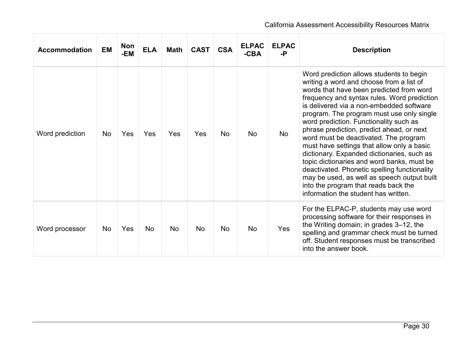| <b>Accommodation</b> | EM        | <b>Non</b><br>-EM | <b>ELA</b> | <b>Math</b> | <b>CAST</b> | <b>CSA</b> | <b>ELPAC</b><br>$-CBA$ | <b>ELPAC</b><br>-P | <b>Description</b>                                                                                                                                                                                                                                                                                                                                                                                                                                                                                                                                                                                                                                                                                                                |  |
|----------------------|-----------|-------------------|------------|-------------|-------------|------------|------------------------|--------------------|-----------------------------------------------------------------------------------------------------------------------------------------------------------------------------------------------------------------------------------------------------------------------------------------------------------------------------------------------------------------------------------------------------------------------------------------------------------------------------------------------------------------------------------------------------------------------------------------------------------------------------------------------------------------------------------------------------------------------------------|--|
| Word prediction      | <b>No</b> | Yes               | Yes        | Yes         | Yes         | <b>No</b>  | <b>No</b>              | <b>No</b>          | Word prediction allows students to begin<br>writing a word and choose from a list of<br>words that have been predicted from word<br>frequency and syntax rules. Word prediction<br>is delivered via a non-embedded software<br>program. The program must use only single<br>word prediction. Functionality such as<br>phrase prediction, predict ahead, or next<br>word must be deactivated. The program<br>must have settings that allow only a basic<br>dictionary. Expanded dictionaries, such as<br>topic dictionaries and word banks, must be<br>deactivated. Phonetic spelling functionality<br>may be used, as well as speech output built<br>into the program that reads back the<br>information the student has written. |  |
| Word processor       | No.       | Yes               | <b>No</b>  | <b>No</b>   | No          | <b>No</b>  | No                     | Yes                | For the ELPAC-P, students may use word<br>processing software for their responses in<br>the Writing domain; in grades 3–12, the<br>spelling and grammar check must be turned<br>off. Student responses must be transcribed<br>into the answer book.                                                                                                                                                                                                                                                                                                                                                                                                                                                                               |  |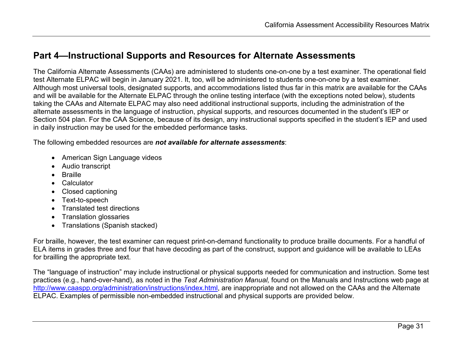### <span id="page-30-0"></span>**Part 4—Instructional Supports and Resources for Alternate Assessments**

The California Alternate Assessments (CAAs) are administered to students one-on-one by a test examiner. The operational field test Alternate ELPAC will begin in January 2021. It, too, will be administered to students one-on-one by a test examiner. Although most universal tools, designated supports, and accommodations listed thus far in this matrix are available for the CAAs and will be available for the Alternate ELPAC through the online testing interface (with the exceptions noted below), students taking the CAAs and Alternate ELPAC may also need additional instructional supports, including the administration of the alternate assessments in the language of instruction, physical supports, and resources documented in the student's IEP or Section 504 plan. For the CAA Science, because of its design, any instructional supports specified in the student's IEP and used in daily instruction may be used for the embedded performance tasks.

The following embedded resources are *not available for alternate assessments*:

- American Sign Language videos
- Audio transcript
- Braille
- Calculator
- Closed captioning
- Text-to-speech
- Translated test directions
- Translation glossaries
- Translations (Spanish stacked)

For braille, however, the test examiner can request print-on-demand functionality to produce braille documents. For a handful of ELA items in grades three and four that have decoding as part of the construct, support and guidance will be available to LEAs for brailling the appropriate text.

The "language of instruction" may include instructional or physical supports needed for communication and instruction. Some test practices (e.g., hand-over-hand), as noted in the *Test Administration Manual,* found on the Manuals and Instructions web page at [http://www.caaspp.org/administration/instructions/index.html,](http://www.caaspp.org/administration/instructions/index.html) are inappropriate and not allowed on the CAAs and the Alternate ELPAC. Examples of permissible non-embedded instructional and physical supports are provided below.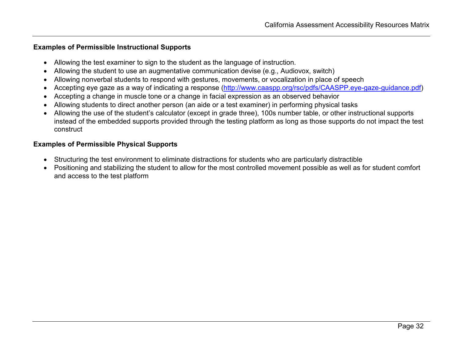#### **Examples of Permissible Instructional Supports**

- Allowing the test examiner to sign to the student as the language of instruction.
- Allowing the student to use an augmentative communication devise (e.g., Audiovox, switch)
- Allowing nonverbal students to respond with gestures, movements, or vocalization in place of speech
- Accepting eye gaze as a way of indicating a response [\(http://www.caaspp.org/rsc/pdfs/CAASPP.eye-gaze-guidance.pdf\)](http://www.caaspp.org/rsc/pdfs/CAASPP.eye-gaze-guidance.pdf)
- Accepting a change in muscle tone or a change in facial expression as an observed behavior
- Allowing students to direct another person (an aide or a test examiner) in performing physical tasks
- Allowing the use of the student's calculator (except in grade three), 100s number table, or other instructional supports instead of the embedded supports provided through the testing platform as long as those supports do not impact the test construct

#### **Examples of Permissible Physical Supports**

- Structuring the test environment to eliminate distractions for students who are particularly distractible
- Positioning and stabilizing the student to allow for the most controlled movement possible as well as for student comfort and access to the test platform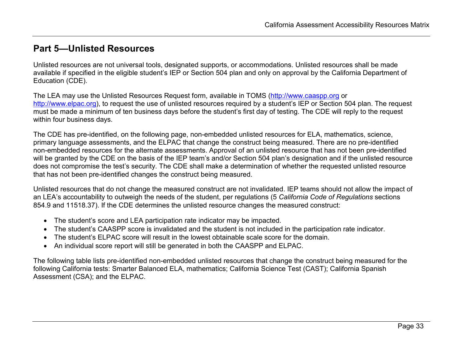### <span id="page-32-0"></span>**Part 5—Unlisted Resources**

Unlisted resources are not universal tools, designated supports, or accommodations. Unlisted resources shall be made available if specified in the eligible student's IEP or Section 504 plan and only on approval by the California Department of Education (CDE).

The LEA may use the Unlisted Resources Request form, available in TOMS [\(http://www.caaspp.org](http://www.caaspp.org/) or [http://www.elpac.org\)](http://www.elpac.org/), to request the use of unlisted resources required by a student's IEP or Section 504 plan. The request must be made a minimum of ten business days before the student's first day of testing. The CDE will reply to the request within four business days.

The CDE has pre-identified, on the following page, non-embedded unlisted resources for ELA, mathematics, science, primary language assessments, and the ELPAC that change the construct being measured. There are no pre-identified non-embedded resources for the alternate assessments. Approval of an unlisted resource that has not been pre-identified will be granted by the CDE on the basis of the IEP team's and/or Section 504 plan's designation and if the unlisted resource does not compromise the test's security. The CDE shall make a determination of whether the requested unlisted resource that has not been pre-identified changes the construct being measured.

Unlisted resources that do not change the measured construct are not invalidated. IEP teams should not allow the impact of an LEA's accountability to outweigh the needs of the student, per regulations (5 *California Code of Regulations* sections 854.9 and 11518.37). If the CDE determines the unlisted resource changes the measured construct:

- The student's score and LEA participation rate indicator may be impacted.
- The student's CAASPP score is invalidated and the student is not included in the participation rate indicator.
- The student's ELPAC score will result in the lowest obtainable scale score for the domain.
- An individual score report will still be generated in both the CAASPP and ELPAC.

The following table lists pre-identified non-embedded unlisted resources that change the construct being measured for the following California tests: Smarter Balanced ELA, mathematics; California Science Test (CAST); California Spanish Assessment (CSA); and the ELPAC.